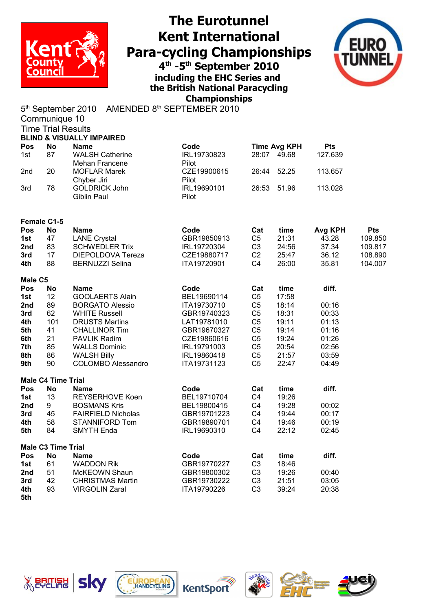

## **The Eurotunnel Kent International Para-cycling Championships 4 th -5th September 2010**

**including the EHC Series and the British National Paracycling Championships**



5<sup>th</sup> September 2010 AMENDED 8<sup>th</sup> SEPTEMBER 2010

|            | Communique 10             |                                              |             |                |                     |                  |            |
|------------|---------------------------|----------------------------------------------|-------------|----------------|---------------------|------------------|------------|
|            | <b>Time Trial Results</b> |                                              |             |                |                     |                  |            |
|            |                           | <b>BLIND &amp; VISUALLY IMPAIRED</b>         |             |                |                     |                  |            |
| Pos        | <b>No</b>                 | <b>Name</b>                                  | Code        |                | <b>Time Avg KPH</b> | <b>Pts</b>       |            |
| 1st        | 87                        | <b>WALSH Catherine</b>                       | IRL19730823 |                | 28:07 49.68         | 127.639          |            |
|            |                           | Mehan Francene                               | Pilot       |                |                     |                  |            |
| 2nd        | 20                        | <b>MOFLAR Marek</b>                          | CZE19900615 | 26:44          | 52.25               | 113.657          |            |
|            |                           | Chyber Jiri                                  | Pilot       |                |                     |                  |            |
| 3rd        | 78                        | <b>GOLDRICK John</b>                         | IRL19690101 | 26:53          | 51.96               | 113.028          |            |
|            |                           | Giblin Paul                                  | Pilot       |                |                     |                  |            |
|            |                           |                                              |             |                |                     |                  |            |
|            |                           |                                              |             |                |                     |                  |            |
| Pos        | Female C1-5               | <b>Name</b>                                  | Code        | Cat            |                     |                  | <b>Pts</b> |
|            | No<br>47                  |                                              | GBR19850913 | C <sub>5</sub> | time<br>21:31       | Avg KPH<br>43.28 | 109.850    |
| 1st        |                           | <b>LANE Crystal</b><br><b>SCHWEDLER Trix</b> |             |                |                     |                  |            |
| 2nd        | 83                        |                                              | IRL19720304 | C <sub>3</sub> | 24:56               | 37.34            | 109.817    |
| 3rd        | 17                        | DIEPOLDOVA Tereza                            | CZE19880717 | C <sub>2</sub> | 25:47               | 36.12            | 108.890    |
| 4th        | 88                        | <b>BERNUZZI Selina</b>                       | ITA19720901 | C <sub>4</sub> | 26:00               | 35.81            | 104.007    |
| Male C5    |                           |                                              |             |                |                     |                  |            |
| Pos        | <b>No</b>                 | <b>Name</b>                                  | Code        | Cat            | time                | diff.            |            |
| 1st        | 12                        | <b>GOOLAERTS Alain</b>                       | BEL19690114 | C <sub>5</sub> | 17:58               |                  |            |
| 2nd        | 89                        | <b>BORGATO Alessio</b>                       | ITA19730710 | C <sub>5</sub> | 18:14               | 00:16            |            |
| 3rd        | 62                        | <b>WHITE Russell</b>                         | GBR19740323 | C <sub>5</sub> | 18:31               | 00:33            |            |
| 4th        | 101                       | <b>DRUSTS Martins</b>                        | LAT19781010 | C <sub>5</sub> | 19:11               | 01:13            |            |
| 5th        | 41                        | <b>CHALLINOR Tim</b>                         | GBR19670327 | C <sub>5</sub> | 19:14               | 01:16            |            |
| 6th        | 21                        | <b>PAVLIK Radim</b>                          | CZE19860616 | C <sub>5</sub> | 19:24               | 01:26            |            |
| 7th        | 85                        | <b>WALLS Dominic</b>                         | IRL19791003 | C <sub>5</sub> | 20:54               | 02:56            |            |
| 8th        | 86                        | <b>WALSH Billy</b>                           | IRL19860418 | C <sub>5</sub> | 21:57               | 03:59            |            |
| 9th        | 90                        | <b>COLOMBO Alessandro</b>                    | ITA19731123 | C <sub>5</sub> | 22:47               | 04:49            |            |
|            |                           |                                              |             |                |                     |                  |            |
|            | <b>Male C4 Time Trial</b> |                                              |             |                |                     |                  |            |
| Pos        | <b>No</b>                 | <b>Name</b>                                  | Code        | Cat            | time                | diff.            |            |
| 1st        | 13                        | <b>REYSERHOVE Koen</b>                       | BEL19710704 | C <sub>4</sub> | 19:26               |                  |            |
| 2nd        | 9                         | <b>BOSMANS Kris</b>                          | BEL19800415 | C <sub>4</sub> | 19:28               | 00:02            |            |
| 3rd        | 45                        | <b>FAIRFIELD Nicholas</b>                    | GBR19701223 | C <sub>4</sub> | 19:44               | 00:17            |            |
| 4th        | 58                        | STANNIFORD Tom                               | GBR19890701 | C <sub>4</sub> | 19:46               | 00:19            |            |
| 5th        | 84                        | <b>SMYTH Enda</b>                            | IRL19690310 | C <sub>4</sub> | 22:12               | 02:45            |            |
|            |                           |                                              |             |                |                     |                  |            |
|            | <b>Male C3 Time Trial</b> |                                              |             |                |                     |                  |            |
| Pos        | <b>No</b>                 | <b>Name</b>                                  | Code        | Cat            | time                | diff.            |            |
| 1st        | 61                        | <b>WADDON Rik</b>                            | GBR19770227 | C <sub>3</sub> | 18:46               |                  |            |
| 2nd        | 51                        | McKEOWN Shaun                                | GBR19800302 | C <sub>3</sub> | 19:26               | 00:40            |            |
| 3rd        | 42                        | <b>CHRISTMAS Martin</b>                      | GBR19730222 | C <sub>3</sub> | 21:51               | 03:05            |            |
| 4th<br>5th | 93                        | <b>VIRGOLIN Zaral</b>                        | ITA19790226 | C <sub>3</sub> | 39:24               | 20:38            |            |
|            |                           |                                              |             |                |                     |                  |            |









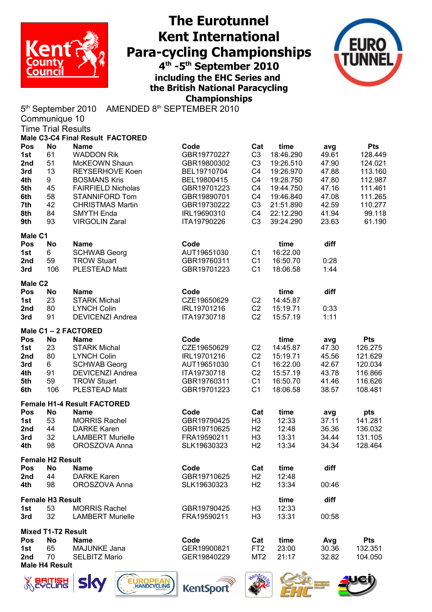

## **The Eurotunnel Kent International Para-cycling Championships 4 th -5th September 2010**

**including the EHC Series and the British National Paracycling Championships**



5<sup>th</sup> September 2010 AMENDED 8<sup>th</sup> SEPTEMBER 2010 Communique 10

|                     | oommuunquo 10             | <b>Time Trial Results</b>          |             |                 |           |       |            |
|---------------------|---------------------------|------------------------------------|-------------|-----------------|-----------|-------|------------|
|                     |                           | Male C3-C4 Final Result FACTORED   |             |                 |           |       |            |
| Pos                 | <b>No</b>                 | <b>Name</b>                        | Code        | Cat             | time      | avg   | <b>Pts</b> |
| 1st                 | 61                        | <b>WADDON Rik</b>                  | GBR19770227 | C <sub>3</sub>  | 18:46.290 | 49.61 | 128.449    |
| 2nd                 | 51                        | McKEOWN Shaun                      | GBR19800302 | C <sub>3</sub>  | 19:26.510 | 47.90 | 124.021    |
| 3rd                 | 13                        | REYSERHOVE Koen                    | BEL19710704 | C4              | 19:26.970 | 47.88 | 113.160    |
| 4th                 | 9                         | <b>BOSMANS Kris</b>                | BEL19800415 | C4              | 19:28.750 | 47.80 | 112.987    |
| 5th                 | 45                        | <b>FAIRFIELD Nicholas</b>          | GBR19701223 | C4              | 19:44.750 | 47.16 | 111.461    |
| 6th                 | 58                        | STANNIFORD Tom                     | GBR19890701 | C4              | 19:46.840 | 47.08 | 111.265    |
| 7th                 | 42                        | <b>CHRISTMAS Martin</b>            | GBR19730222 | C <sub>3</sub>  | 21:51.890 | 42.59 | 110.277    |
| 8th                 | 84                        | <b>SMYTH Enda</b>                  | IRL19690310 | C4              | 22:12.290 | 41.94 | 99.118     |
| 9th                 | 93                        | <b>VIRGOLIN Zaral</b>              | ITA19790226 | C <sub>3</sub>  | 39:24.290 | 23.63 | 61.190     |
| Male C1             |                           |                                    |             |                 |           |       |            |
| Pos                 | <b>No</b>                 | <b>Name</b>                        | Code        |                 | time      | diff  |            |
| 1st                 | 6                         | <b>SCHWAB Georg</b>                | AUT19651030 | C <sub>1</sub>  | 16:22.00  |       |            |
| 2nd                 | 59                        | <b>TROW Stuart</b>                 | GBR19760311 | C <sub>1</sub>  | 16:50.70  | 0:28  |            |
| 3rd                 | 106                       | PLESTEAD Matt                      | GBR19701223 | C <sub>1</sub>  | 18:06.58  | 1:44  |            |
| Male C <sub>2</sub> |                           |                                    |             |                 |           |       |            |
| Pos                 | <b>No</b>                 | <b>Name</b>                        | Code        |                 | time      | diff  |            |
| 1st                 | 23                        | <b>STARK Michal</b>                | CZE19650629 | C <sub>2</sub>  | 14:45.87  |       |            |
| 2nd                 | 80                        | <b>LYNCH Colin</b>                 | IRL19701216 | C <sub>2</sub>  | 15:19.71  | 0:33  |            |
| 3rd                 | 91                        | <b>DEVICENZI Andrea</b>            | ITA19730718 | C <sub>2</sub>  | 15:57.19  | 1:11  |            |
|                     |                           | Male C1-2 FACTORED                 |             |                 |           |       |            |
| Pos                 | <b>No</b>                 | <b>Name</b>                        | Code        |                 | time      | avg   | <b>Pts</b> |
| 1st                 | 23                        | <b>STARK Michal</b>                | CZE19650629 | C <sub>2</sub>  | 14:45.87  | 47.30 | 126.275    |
| 2nd                 | 80                        | <b>LYNCH Colin</b>                 | IRL19701216 | C <sub>2</sub>  | 15:19.71  | 45.56 | 121.629    |
| 3rd                 | 6 <sup>1</sup>            | <b>SCHWAB Georg</b>                | AUT19651030 | C1              | 16:22.00  | 42.67 | 120.034    |
| 4th                 | 91                        | <b>DEVICENZI Andrea</b>            | ITA19730718 | C <sub>2</sub>  | 15:57.19  | 43.78 | 116.866    |
| 5th                 | 59                        | <b>TROW Stuart</b>                 | GBR19760311 | C1              | 16:50.70  | 41.46 | 116.626    |
| 6th                 | 106                       | PLESTEAD Matt                      | GBR19701223 | C <sub>1</sub>  | 18:06.58  | 38.57 | 108.481    |
|                     |                           | <b>Female H1-4 Result FACTORED</b> |             |                 |           |       |            |
| Pos                 | <b>No</b>                 | <b>Name</b>                        | Code        | Cat             | time      | avg   | pts        |
| 1st                 | 53                        | <b>MORRIS Rachel</b>               | GBR19790425 | H <sub>3</sub>  | 12:33     | 37.11 | 141.281    |
| 2nd                 | 44                        | <b>DARKE Karen</b>                 | GBR19710625 | H <sub>2</sub>  | 12:48     | 36.36 | 136.032    |
| 3rd                 | 32                        | <b>LAMBERT Murielle</b>            | FRA19590211 | H <sub>3</sub>  | 13:31     | 34.44 | 131.105    |
| 4th                 | 98                        | OROSZOVA Anna                      | SLK19630323 | H <sub>2</sub>  | 13:34     | 34.34 | 128.464    |
|                     | <b>Female H2 Result</b>   |                                    |             |                 |           |       |            |
| <b>Pos</b>          | No                        | <b>Name</b>                        | Code        | Cat             | time      | diff  |            |
| 2nd                 | 44                        | <b>DARKE Karen</b>                 | GBR19710625 | H <sub>2</sub>  | 12:48     |       |            |
| 4th                 | 98                        | OROSZOVA Anna                      | SLK19630323 | H <sub>2</sub>  | 13:34     | 00:46 |            |
|                     | <b>Female H3 Result</b>   |                                    |             |                 | time      | diff  |            |
| 1st                 | 53                        | <b>MORRIS Rachel</b>               | GBR19790425 | H <sub>3</sub>  | 12:33     |       |            |
| 3rd                 | 32                        | <b>LAMBERT Murielle</b>            | FRA19590211 | H <sub>3</sub>  | 13:31     | 00:58 |            |
|                     | <b>Mixed T1-T2 Result</b> |                                    |             |                 |           |       |            |
| <b>Pos</b>          | No                        | <b>Name</b>                        | Code        | Cat             | time      | Avg   | <b>Pts</b> |
| 1st                 | 65                        | MAJUNKE Jana                       | GER19900821 | FT <sub>2</sub> | 23:00     | 30.36 | 132.351    |
| 2nd                 | 70                        | <b>SELBITZ Mario</b>               | GER19840229 | MT <sub>2</sub> | 21:17     | 32.82 | 104.050    |
|                     | <b>Male H4 Result</b>     |                                    |             |                 |           |       |            |